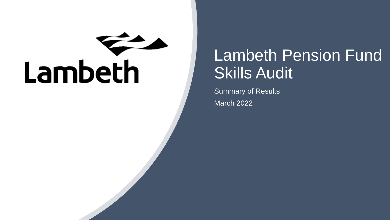# Lambeth

## Lambeth Pension Fund Skills Audit

Summary of Results March 2022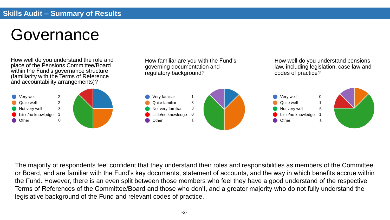## Governance

How well do you understand the role and place of the Pensions Committee/Board within the Fund's governance structure (familiarity with the Terms of Reference and accountability arrangements)?

How familiar are you with the Fund's governing documentation and regulatory background?

How well do you understand pensions law, including legislation, case law and codes of practice?



The majority of respondents feel confident that they understand their roles and responsibilities as members of the Committee or Board, and are familiar with the Fund's key documents, statement of accounts, and the way in which benefits accrue within the Fund. However, there is an even split between those members who feel they have a good understand of the respective Terms of References of the Committee/Board and those who don't, and a greater majority who do not fully understand the legislative background of the Fund and relevant codes of practice.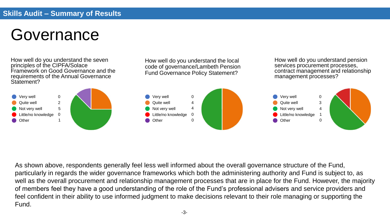## Governance

How well do you understand the seven principles of the CIPFA/Solace Framework on Good Governance and the requirements of the Annual Governance Statement?

How well do you understand the local code of governance/Lambeth Pension Fund Governance Policy Statement?

How well do you understand pension services procurement processes, contract management and relationship management processes?



As shown above, respondents generally feel less well informed about the overall governance structure of the Fund, particularly in regards the wider governance frameworks which both the administering authority and Fund is subject to, as well as the overall procurement and relationship management processes that are in place for the Fund. However, the majority of members feel they have a good understanding of the role of the Fund's professional advisers and service providers and feel confident in their ability to use informed judgment to make decisions relevant to their role managing or supporting the Fund.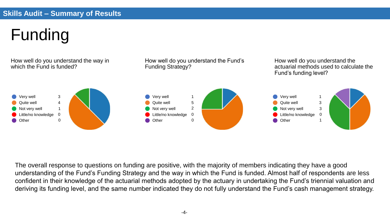# Funding



The overall response to questions on funding are positive, with the majority of members indicating they have a good understanding of the Fund's Funding Strategy and the way in which the Fund is funded. Almost half of respondents are less confident in their knowledge of the actuarial methods adopted by the actuary in undertaking the Fund's triennial valuation and deriving its funding level, and the same number indicated they do not fully understand the Fund's cash management strategy.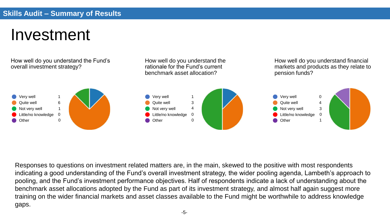#### Investment

How well do you understand the Fund's overall investment strategy?

How well do you understand the rationale for the Fund's current benchmark asset allocation?

How well do you understand financial markets and products as they relate to pension funds?



Responses to questions on investment related matters are, in the main, skewed to the positive with most respondents indicating a good understanding of the Fund's overall investment strategy, the wider pooling agenda, Lambeth's approach to pooling, and the Fund's investment performance objectives. Half of respondents indicate a lack of understanding about the benchmark asset allocations adopted by the Fund as part of its investment strategy, and almost half again suggest more training on the wider financial markets and asset classes available to the Fund might be worthwhile to address knowledge gaps.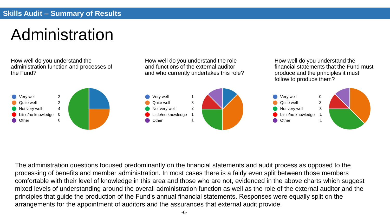## Administration

How well do you understand the administration function and processes of the Fund?

How well do you understand the role and functions of the external auditor and who currently undertakes this role?

How well do you understand the financial statements that the Fund must produce and the principles it must follow to produce them?



The administration questions focused predominantly on the financial statements and audit process as opposed to the processing of benefits and member administration. In most cases there is a fairly even split between those members comfortable with their level of knowledge in this area and those who are not, evidenced in the above charts which suggest mixed levels of understanding around the overall administration function as well as the role of the external auditor and the principles that guide the production of the Fund's annual financial statements. Responses were equally split on the arrangements for the appointment of auditors and the assurances that external audit provide.